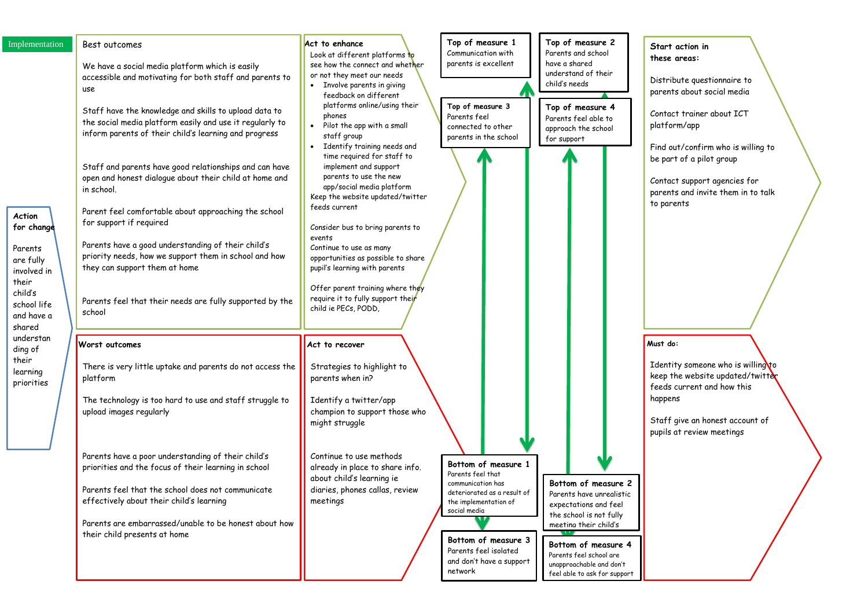ind out/confirm who is willing to be part of a pilot group

ontact support agencies for parents and invite them in to talk parents

| Implementation<br><b>Action</b><br>for change<br>Parents<br>are fully<br>involved in<br>their<br>child's<br>school life<br>and have a<br>shared<br>understan<br>ding of<br>their<br>learning<br>priorities | Best outcomes<br>We have a social media platform which is easily<br>accessible and motivating for both staff and parents to<br>use<br>Staff have the knowledge and skills to upload data to<br>the social media platform easily and use it regularly to<br>inform parents of their child's learning and progress<br>Staff and parents have good relationships and can have<br>open and honest dialogue about their child at home and<br>in school.<br>Parent feel comfortable about approaching the school<br>for support if required<br>Parents have a good understanding of their child's<br>priority needs, how we support them in school and how<br>they can support them at home<br>Parents feel that their needs are fully supported by the<br>school<br><b>Worst outcomes</b><br>There is very little uptake and parents do not access the<br>platform<br>The technology is too hard to use and staff struggle to<br>upload images regularly | Act to enhance<br>Look at different platforms to<br>see how the connect and whether<br>or not they meet our needs<br>Involve parents in giving<br>feedback on different<br>platforms online/using their<br>phones<br>Pilot the app with a small<br>staff group<br>Identify training needs and<br>time required for staff to<br>implement and support<br>parents to use the new<br>app/social media platform<br>Keep the website updated/twitter<br>feeds current<br>Consider bus to bring parents to<br>events<br>Continue to use as many<br>opportunities as possible to share<br>pupil's learning with parents<br>Offer parent training where they<br>require it to fully support their<br>child ie PECs, PODD,<br>Act to recover<br>Strategies to highlight to<br>parents when in?<br>Identify a twitter/app<br>champion to support those who<br>might struggle | Top of measure 1<br>Communication with<br>parents is excellent<br>Top of measure 3<br>Parents feel<br>connected to other<br>parents in the school                                                                            | Top of measure 2<br>Parents and school<br>have a shared<br>understand of their<br>child's needs<br>Top of measure 4<br>Parents feel able to<br>approach the school<br>for support                                                          | S<br>th<br>Di<br>pc<br>$\mathcal{C}$<br>pl<br>Fi<br>be<br>$\mathcal{C}$<br>pc<br>to<br>Mu<br>Ιc<br>ke<br>fe<br>hc<br>$S^1$<br>pu |
|------------------------------------------------------------------------------------------------------------------------------------------------------------------------------------------------------------|-----------------------------------------------------------------------------------------------------------------------------------------------------------------------------------------------------------------------------------------------------------------------------------------------------------------------------------------------------------------------------------------------------------------------------------------------------------------------------------------------------------------------------------------------------------------------------------------------------------------------------------------------------------------------------------------------------------------------------------------------------------------------------------------------------------------------------------------------------------------------------------------------------------------------------------------------------|--------------------------------------------------------------------------------------------------------------------------------------------------------------------------------------------------------------------------------------------------------------------------------------------------------------------------------------------------------------------------------------------------------------------------------------------------------------------------------------------------------------------------------------------------------------------------------------------------------------------------------------------------------------------------------------------------------------------------------------------------------------------------------------------------------------------------------------------------------------------|------------------------------------------------------------------------------------------------------------------------------------------------------------------------------------------------------------------------------|--------------------------------------------------------------------------------------------------------------------------------------------------------------------------------------------------------------------------------------------|----------------------------------------------------------------------------------------------------------------------------------|
|                                                                                                                                                                                                            |                                                                                                                                                                                                                                                                                                                                                                                                                                                                                                                                                                                                                                                                                                                                                                                                                                                                                                                                                     |                                                                                                                                                                                                                                                                                                                                                                                                                                                                                                                                                                                                                                                                                                                                                                                                                                                                    |                                                                                                                                                                                                                              |                                                                                                                                                                                                                                            |                                                                                                                                  |
|                                                                                                                                                                                                            | Parents have a poor understanding of their child's<br>priorities and the focus of their learning in school<br>Parents feel that the school does not communicate<br>effectively about their child's learning<br>Parents are embarrassed/unable to be honest about how<br>their child presents at home                                                                                                                                                                                                                                                                                                                                                                                                                                                                                                                                                                                                                                                | Continue to use methods<br>already in place to share info.<br>about child's learning ie<br>diaries, phones callas, review<br>meetings                                                                                                                                                                                                                                                                                                                                                                                                                                                                                                                                                                                                                                                                                                                              | Bottom of measure 1<br>Parents feel that<br>communication has<br>deteriorated as a result of<br>the implementation of<br>social media<br>Bottom of measure 3<br>Parents feel isolated<br>and don't have a support<br>network | Bottom of measure 2<br>Parents have unrealistic<br>expectations and feel<br>the school is not fully<br>meeting their child's<br>Bottom of measure 4<br>Parents feel school are<br>unapproachable and don't<br>feel able to ask for support |                                                                                                                                  |

### **Start action in these areas:**

Distribute questionnaire to parents about social media

 $\frac{1}{2}$ ontact trainer about I $\mathcal{C}\mathsf{T}$ latform/app

## **Must do:**

dentity someone who is willing to eep the website updated/twitter eeds current and how this appens

 $\frac{1}{3}$  itaff give an honest account of upils at review meetings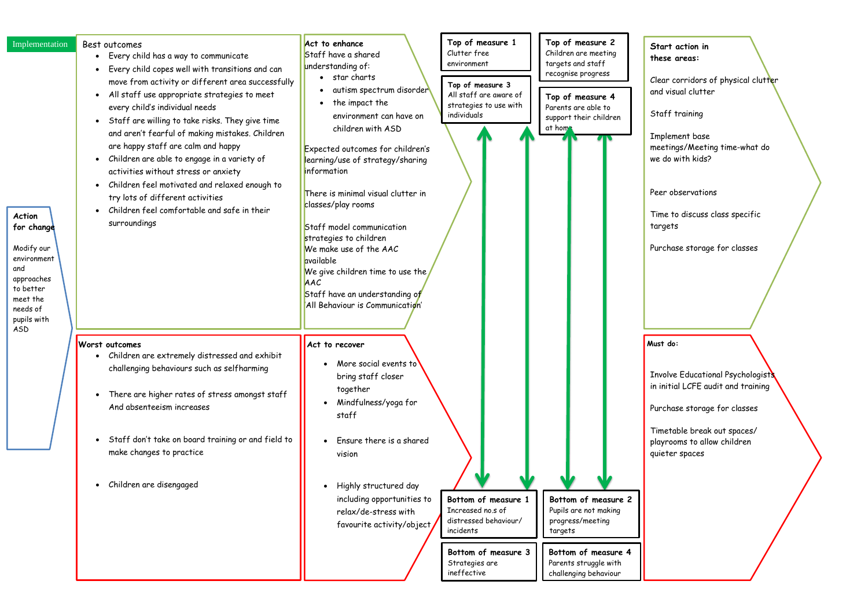lear corridors of physical clutt<mark>e</mark>r and visual clutter

nvolve Educational Psychologists in initial LCFE audit and training

urchase storage for classes

Timetable break out spaces/ layrooms to allow children uieter spaces

| Implementation<br><b>Action</b><br>for change<br>Modify our<br>environment<br>and<br>approaches<br>to better<br>meet the<br>needs of<br>pupils with<br>ASD | Best outcomes<br>Every child has a way to communicate<br>Every child copes well with transitions and can<br>move from activity or different area successfully<br>All staff use appropriate strategies to meet<br>every child's individual needs<br>Staff are willing to take risks. They give time<br>and aren't fearful of making mistakes. Children<br>are happy staff are calm and happy<br>Children are able to engage in a variety of<br>activities without stress or anxiety<br>Children feel motivated and relaxed enough to<br>try lots of different activities<br>Children feel comfortable and safe in their<br>surroundings | Act to enhance<br>Staff have a shared<br>understanding of:<br>• star charts<br>autism spectrum disorder<br>the impact the<br>environment can have on<br>children with ASD<br>Expected outcomes for children's<br>earning/use of strategy/sharing<br><b>information</b><br>There is minimal visual clutter in<br>classes/play rooms<br>Staff model communication<br>strategies to children<br>We make use of the AAC<br>available<br>We give children time to use the<br>AAC<br>Staff have an understanding of<br>All Behaviour is Communication' | Top of measure 1<br>Clutter free<br>environment<br>Top of measure 3<br>All staff are aware of<br>strategies to use with<br>individuals | Top of measure 2<br>Children are meeting<br>targets and staff<br>recognise progress<br>Top of measure 4<br>Parents are able to<br>support their children<br>at hom's | $\mathsf{s}$<br>tł<br>$\mathcal{C}$<br>αı<br>$\mathsf{S}$<br>Ιı<br>m<br>W<br>P <sub>6</sub><br>$\mathsf T$<br>$\mathsf{t}$<br>P <sub>0</sub> |
|------------------------------------------------------------------------------------------------------------------------------------------------------------|----------------------------------------------------------------------------------------------------------------------------------------------------------------------------------------------------------------------------------------------------------------------------------------------------------------------------------------------------------------------------------------------------------------------------------------------------------------------------------------------------------------------------------------------------------------------------------------------------------------------------------------|--------------------------------------------------------------------------------------------------------------------------------------------------------------------------------------------------------------------------------------------------------------------------------------------------------------------------------------------------------------------------------------------------------------------------------------------------------------------------------------------------------------------------------------------------|----------------------------------------------------------------------------------------------------------------------------------------|----------------------------------------------------------------------------------------------------------------------------------------------------------------------|----------------------------------------------------------------------------------------------------------------------------------------------|
|                                                                                                                                                            | <b>Worst outcomes</b><br>Children are extremely distressed and exhibit<br>challenging behaviours such as selfharming<br>There are higher rates of stress amongst staff<br>$\bullet$<br>And absenteeism increases<br>Staff don't take on board training or and field to<br>make changes to practice<br>Children are disengaged                                                                                                                                                                                                                                                                                                          | Act to recover<br>More social events to<br>bring staff closer<br>together<br>Mindfulness/yoga for<br>staff<br>Ensure there is a shared<br>vision<br>Highly structured day<br>including opportunities to<br>relax/de-stress with<br>favourite activity/object                                                                                                                                                                                                                                                                                     | Bottom of measure 1<br>Increased no.s of<br>distressed behaviour/<br>incidents<br>Bottom of measure 3<br>Strategies are<br>ineffective | Bottom of measure 2<br>Pupils are not making<br>progress/meeting<br>targets<br>Bottom of measure 4<br>Parents struggle with<br>challenging behaviour                 | Mu<br>Ιı<br>in<br>P <sub>0</sub><br>Τ<br>pl<br>q                                                                                             |

**Start action in these areas:**

Staff training

Implement base meetings/Meeting time-what do we do with kids?

eer observations

ime to discuss class specific argets

urchase storage for classes

**Must do:**